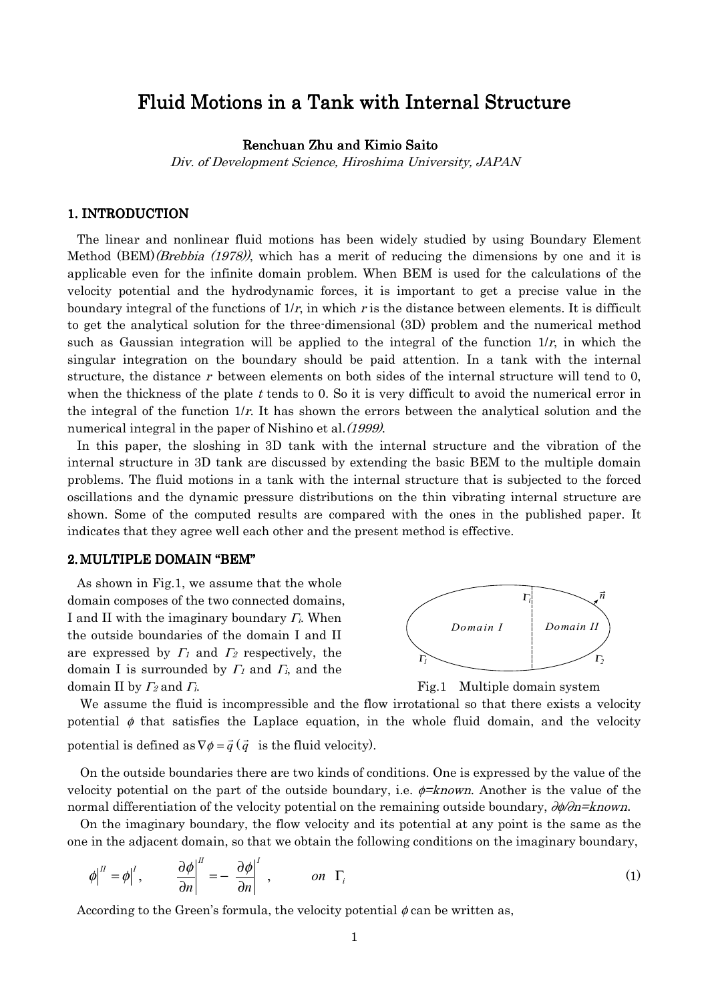# Fluid Motions in a Tank with Internal Structure

Renchuan Zhu and Kimio Saito

Div. of Development Science, Hiroshima University, JAPAN

# 1. INTRODUCTION

The linear and nonlinear fluid motions has been widely studied by using Boundary Element Method (BEM)(Brebbia (1978)), which has a merit of reducing the dimensions by one and it is applicable even for the infinite domain problem. When BEM is used for the calculations of the velocity potential and the hydrodynamic forces, it is important to get a precise value in the boundary integral of the functions of  $1/r$ , in which r is the distance between elements. It is difficult to get the analytical solution for the three-dimensional (3D) problem and the numerical method such as Gaussian integration will be applied to the integral of the function  $1/r$ , in which the singular integration on the boundary should be paid attention. In a tank with the internal structure, the distance r between elements on both sides of the internal structure will tend to 0, when the thickness of the plate t tends to 0. So it is very difficult to avoid the numerical error in the integral of the function  $1/r$ . It has shown the errors between the analytical solution and the numerical integral in the paper of Nishino et al. (1999).

In this paper, the sloshing in 3D tank with the internal structure and the vibration of the internal structure in 3D tank are discussed by extending the basic BEM to the multiple domain problems. The fluid motions in a tank with the internal structure that is subjected to the forced oscillations and the dynamic pressure distributions on the thin vibrating internal structure are shown. Some of the computed results are compared with the ones in the published paper. It indicates that they agree well each other and the present method is effective.

#### 2. MULTIPLE DOMAIN "BEM"

As shown in Fig.1, we assume that the whole domain composes of the two connected domains, I and II with the imaginary boundary  $\Gamma$ *i*. When the outside boundaries of the domain I and II are expressed by  $\Gamma_1$  and  $\Gamma_2$  respectively, the domain I is surrounded by  $\Gamma$ <sub>1</sub> and  $\Gamma$ <sub>i</sub>, and the domain II by  $\Gamma_2$  and  $\Gamma_i$ . Fig.1 Multiple domain system





We assume the fluid is incompressible and the flow irrotational so that there exists a velocity potential  $\phi$  that satisfies the Laplace equation, in the whole fluid domain, and the velocity potential is defined as  $\nabla \phi = \vec{q} \left( \vec{q} \right)$  is the fluid velocity).

On the outside boundaries there are two kinds of conditions. One is expressed by the value of the velocity potential on the part of the outside boundary, i.e.  $\phi =$ known. Another is the value of the normal differentiation of the velocity potential on the remaining outside boundary,  $\partial \phi / \partial n =$ known.

On the imaginary boundary, the flow velocity and its potential at any point is the same as the one in the adjacent domain, so that we obtain the following conditions on the imaginary boundary,

$$
\phi\Big|^{II} = \phi\Big|^{I}, \qquad \frac{\partial \phi}{\partial n}\Big|^{II} = -\frac{\partial \phi}{\partial n}\Big|^{I}, \qquad on \ \Gamma_{i}
$$
 (1)

According to the Green's formula, the velocity potential  $\phi$  can be written as,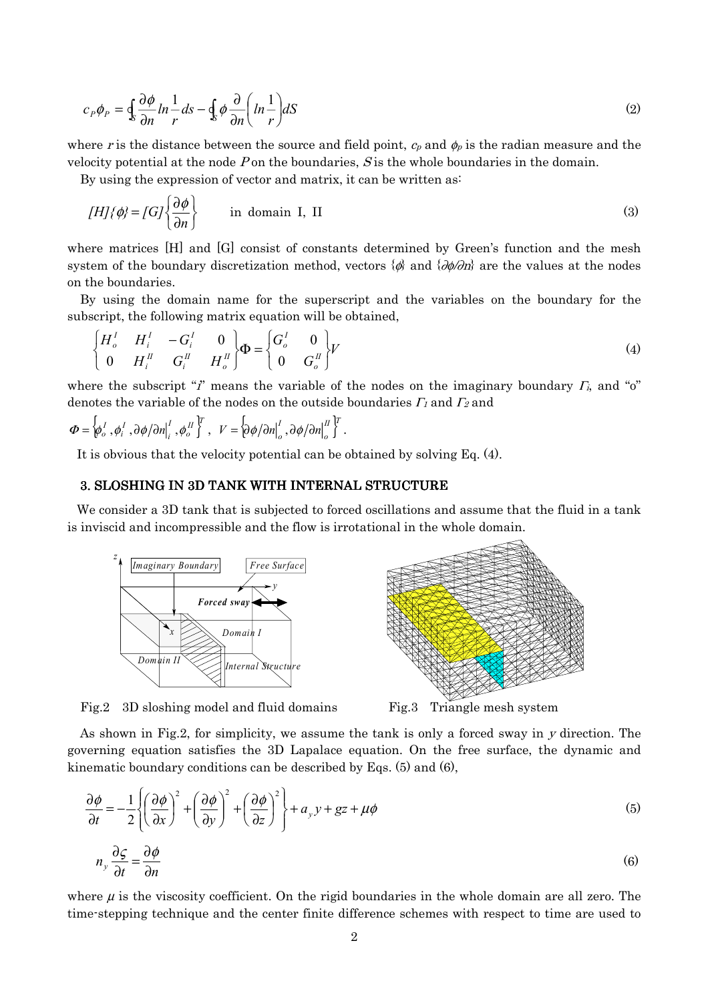$$
c_p \phi_p = \oint_S \frac{\partial \phi}{\partial n} ln \frac{1}{r} ds - \oint_S \phi \frac{\partial}{\partial n} \left( ln \frac{1}{r} \right) dS
$$
 (2)

where r is the distance between the source and field point,  $c_p$  and  $\phi_p$  is the radian measure and the velocity potential at the node P on the boundaries,  $S$  is the whole boundaries in the domain.

By using the expression of vector and matrix, it can be written as:

$$
[H]{\phi} = [G]{\frac{\partial \phi}{\partial n}}
$$
 in domain I, II (3)

where matrices [H] and [G] consist of constants determined by Green's function and the mesh system of the boundary discretization method, vectors  $\{\phi\}$  and  $\{\partial\phi/\partial n\}$  are the values at the nodes on the boundaries.

By using the domain name for the superscript and the variables on the boundary for the subscript, the following matrix equation will be obtained,

$$
\begin{cases}\nH_o^I & H_i^I & -G_i^I & 0 \\
0 & H_i^I & G_i^I & H_o^I\n\end{cases}\n\Phi = \begin{cases}\nG_o^I & 0 \\
0 & G_o^I\n\end{cases} V
$$
\n(4)

where the subscript "i" means the variable of the nodes on the imaginary boundary  $\Gamma_i$ , and "o" denotes the variable of the nodes on the outside boundaries  $\Gamma_l$  and  $\Gamma_2$  and

$$
\boldsymbol{\Phi} = \left\{\boldsymbol{\phi}_o^I \, , \boldsymbol{\phi}_i^I \, , \partial \boldsymbol{\phi}/\partial n_i^I \, , \boldsymbol{\phi}_o^I \right\}^T, \quad V = \left\{\partial \boldsymbol{\phi}/\partial n_i^I \, , \partial \boldsymbol{\phi}/\partial n_i^I \right\}^T.
$$

It is obvious that the velocity potential can be obtained by solving Eq. (4).

#### 3. SLOSHING IN 3D TANK WITH INTERNAL STRUCTURE

We consider a 3D tank that is subjected to forced oscillations and assume that the fluid in a tank is inviscid and incompressible and the flow is irrotational in the whole domain.



Fig.2 3D sloshing model and fluid domains Fig.3 Triangle mesh system



As shown in Fig.2, for simplicity, we assume the tank is only a forced sway in y direction. The governing equation satisfies the 3D Lapalace equation. On the free surface, the dynamic and kinematic boundary conditions can be described by Eqs. (5) and (6),

$$
\frac{\partial \phi}{\partial t} = -\frac{1}{2} \left\{ \left( \frac{\partial \phi}{\partial x} \right)^2 + \left( \frac{\partial \phi}{\partial y} \right)^2 + \left( \frac{\partial \phi}{\partial z} \right)^2 \right\} + a_y y + gz + \mu \phi
$$
\n(5)\n  
\n
$$
n_y \frac{\partial \zeta}{\partial t} = \frac{\partial \phi}{\partial x}
$$
\n(6)

$$
n_y \frac{\partial \zeta}{\partial t} = \frac{\partial \phi}{\partial n} \tag{6}
$$

where  $\mu$  is the viscosity coefficient. On the rigid boundaries in the whole domain are all zero. The time-stepping technique and the center finite difference schemes with respect to time are used to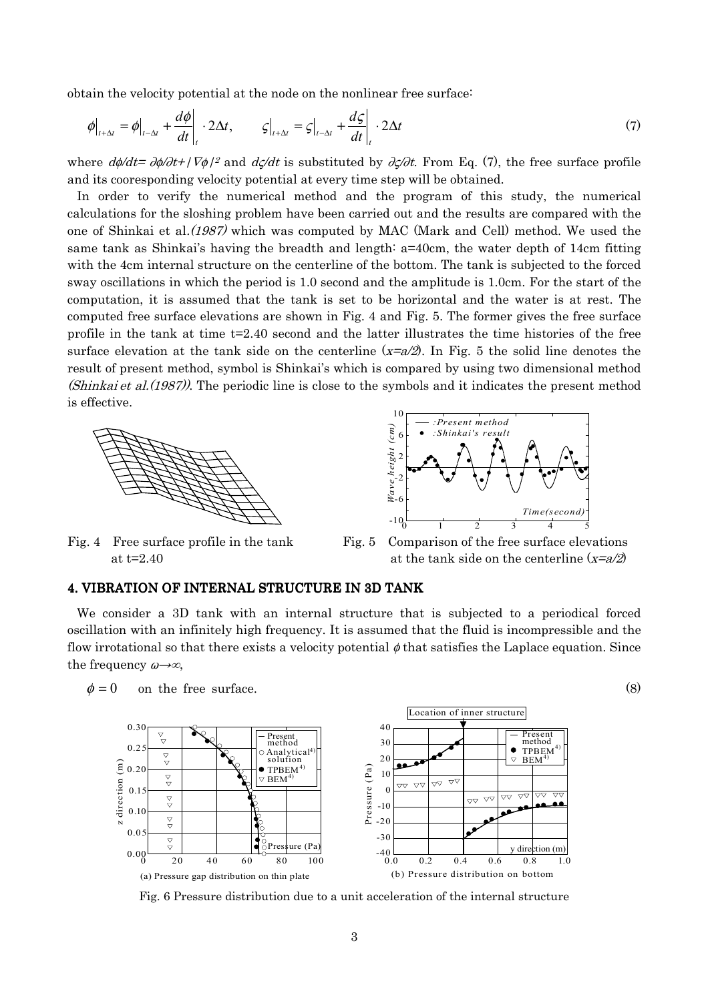obtain the velocity potential at the node on the nonlinear free surface:

$$
\phi\big|_{t+\Delta t} = \phi\big|_{t-\Delta t} + \frac{d\phi}{dt}\bigg|_{t} \cdot 2\Delta t, \qquad \varsigma\big|_{t+\Delta t} = \varsigma\big|_{t-\Delta t} + \frac{d\varsigma}{dt}\bigg|_{t} \cdot 2\Delta t \tag{7}
$$

where  $d\phi/dt=\partial\phi/\partial t+\int \nabla\phi/2$  and  $d\zeta/dt$  is substituted by  $\partial\zeta/\partial t$ . From Eq. (7), the free surface profile and its cooresponding velocity potential at every time step will be obtained.

In order to verify the numerical method and the program of this study, the numerical calculations for the sloshing problem have been carried out and the results are compared with the one of Shinkai et al.(1987) which was computed by MAC (Mark and Cell) method. We used the same tank as Shinkai's having the breadth and length: a=40cm, the water depth of 14cm fitting with the 4cm internal structure on the centerline of the bottom. The tank is subjected to the forced sway oscillations in which the period is 1.0 second and the amplitude is 1.0cm. For the start of the computation, it is assumed that the tank is set to be horizontal and the water is at rest. The computed free surface elevations are shown in Fig. 4 and Fig. 5. The former gives the free surface profile in the tank at time  $t=2.40$  second and the latter illustrates the time histories of the free surface elevation at the tank side on the centerline  $(x=a/2)$ . In Fig. 5 the solid line denotes the result of present method, symbol is Shinkai's which is compared by using two dimensional method (Shinkai et al.(1987)). The periodic line is close to the symbols and it indicates the present method is effective.



Fig. 4 Free surface profile in the tank Fig. 5 Comparison of the free surface elevations



at t=2.40 at the tank side on the centerline  $(x=a/2)$ 

## 4. VIBRATION OF INTERNAL STRUCTURE IN 3D TANK

We consider a 3D tank with an internal structure that is subjected to a periodical forced oscillation with an infinitely high frequency. It is assumed that the fluid is incompressible and the flow irrotational so that there exists a velocity potential  $\phi$  that satisfies the Laplace equation. Since the frequency  $\omega \rightarrow \infty$ ,



Fig. 6 Pressure distribution due to a unit acceleration of the internal structure